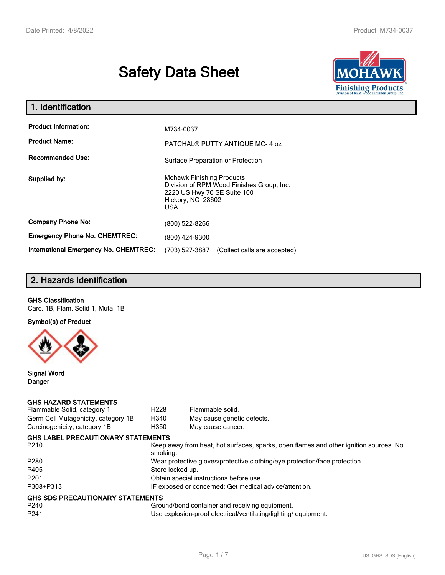# **Safety Data Sheet**



| 1. Identification                            |                                                                                                                                                 |
|----------------------------------------------|-------------------------------------------------------------------------------------------------------------------------------------------------|
| <b>Product Information:</b>                  | M734-0037                                                                                                                                       |
| <b>Product Name:</b>                         | PATCHAL® PUTTY ANTIQUE MC-4 oz                                                                                                                  |
| <b>Recommended Use:</b>                      | Surface Preparation or Protection                                                                                                               |
| Supplied by:                                 | <b>Mohawk Finishing Products</b><br>Division of RPM Wood Finishes Group, Inc.<br>2220 US Hwy 70 SE Suite 100<br>Hickory, NC 28602<br><b>USA</b> |
| <b>Company Phone No:</b>                     | (800) 522-8266                                                                                                                                  |
| <b>Emergency Phone No. CHEMTREC:</b>         | (800) 424-9300                                                                                                                                  |
| <b>International Emergency No. CHEMTREC:</b> | (703) 527-3887<br>(Collect calls are accepted)                                                                                                  |

# **2. Hazards Identification**

### **GHS Classification**

Carc. 1B, Flam. Solid 1, Muta. 1B

**Symbol(s) of Product**



**Signal Word** Danger

#### **GHS HAZARD STATEMENTS**

| Flammable Solid, category 1         | H <sub>228</sub> | Flammable solid.                                                                      |
|-------------------------------------|------------------|---------------------------------------------------------------------------------------|
| Germ Cell Mutagenicity, category 1B | H340             | May cause genetic defects.                                                            |
| Carcinogenicity, category 1B        | H350             | May cause cancer.                                                                     |
| GHS LABEL PRECAUTIONARY STATEMENTS  |                  |                                                                                       |
| P210                                | smoking.         | Keep away from heat, hot surfaces, sparks, open flames and other ignition sources. No |
| P280                                |                  | Wear protective gloves/protective clothing/eye protection/face protection.            |
| P405                                | Store locked up. |                                                                                       |
| P201                                |                  | Obtain special instructions before use.                                               |
| P308+P313                           |                  | IF exposed or concerned: Get medical advice/attention.                                |
| GHS SDS PRECAUTIONARY STATEMENTS    |                  |                                                                                       |
| P240                                |                  | Ground/bond container and receiving equipment.                                        |
| P241                                |                  | Use explosion-proof electrical/ventilating/lighting/equipment.                        |
|                                     |                  |                                                                                       |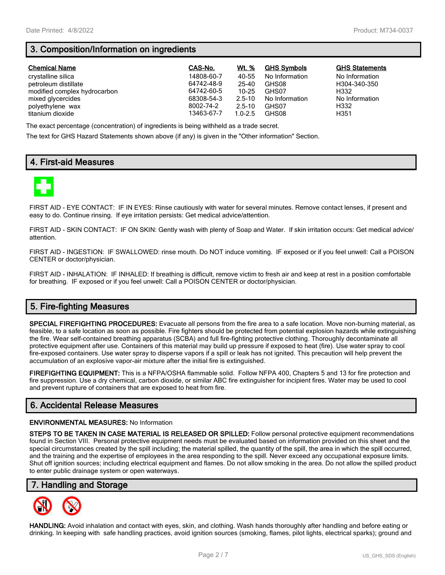# **3. Composition/Information on ingredients**

| <b>Chemical Name</b>         | CAS-No.    | Wt. %       | <b>GHS Symbols</b> | <b>GHS Statements</b> |
|------------------------------|------------|-------------|--------------------|-----------------------|
| crystalline silica           | 14808-60-7 | 40-55       | No Information     | No Information        |
| petroleum distillate         | 64742-48-9 | 25-40       | GHS08              | H304-340-350          |
| modified complex hydrocarbon | 64742-60-5 | $10 - 25$   | GHS07              | H332                  |
| mixed glycercides            | 68308-54-3 | $2.5 - 10$  | No Information     | No Information        |
| polyethylene wax             | 8002-74-2  | $2.5 - 10$  | GHS07              | H332                  |
| titanium dioxide             | 13463-67-7 | $1.0 - 2.5$ | GHS08              | H351                  |

The exact percentage (concentration) of ingredients is being withheld as a trade secret.

The text for GHS Hazard Statements shown above (if any) is given in the "Other information" Section.

## **4. First-aid Measures**



FIRST AID - EYE CONTACT: IF IN EYES: Rinse cautiously with water for several minutes. Remove contact lenses, if present and easy to do. Continue rinsing. If eye irritation persists: Get medical advice/attention.

FIRST AID - SKIN CONTACT: IF ON SKIN: Gently wash with plenty of Soap and Water. If skin irritation occurs: Get medical advice/ attention.

FIRST AID - INGESTION: IF SWALLOWED: rinse mouth. Do NOT induce vomiting. IF exposed or if you feel unwell: Call a POISON CENTER or doctor/physician.

FIRST AID - INHALATION: IF INHALED: If breathing is difficult, remove victim to fresh air and keep at rest in a position comfortable for breathing. IF exposed or if you feel unwell: Call a POISON CENTER or doctor/physician.

# **5. Fire-fighting Measures**

**SPECIAL FIREFIGHTING PROCEDURES:** Evacuate all persons from the fire area to a safe location. Move non-burning material, as feasible, to a safe location as soon as possible. Fire fighters should be protected from potential explosion hazards while extinguishing the fire. Wear self-contained breathing apparatus (SCBA) and full fire-fighting protective clothing. Thoroughly decontaminate all protective equipment after use. Containers of this material may build up pressure if exposed to heat (fire). Use water spray to cool fire-exposed containers. Use water spray to disperse vapors if a spill or leak has not ignited. This precaution will help prevent the accumulation of an explosive vapor-air mixture after the initial fire is extinguished.

**FIREFIGHTING EQUIPMENT:** This is a NFPA/OSHA flammable solid. Follow NFPA 400, Chapters 5 and 13 for fire protection and fire suppression. Use a dry chemical, carbon dioxide, or similar ABC fire extinguisher for incipient fires. Water may be used to cool and prevent rupture of containers that are exposed to heat from fire.

## **6. Accidental Release Measures**

#### **ENVIRONMENTAL MEASURES:** No Information

**STEPS TO BE TAKEN IN CASE MATERIAL IS RELEASED OR SPILLED:** Follow personal protective equipment recommendations found in Section VIII. Personal protective equipment needs must be evaluated based on information provided on this sheet and the special circumstances created by the spill including; the material spilled, the quantity of the spill, the area in which the spill occurred, and the training and the expertise of employees in the area responding to the spill. Never exceed any occupational exposure limits. Shut off ignition sources; including electrical equipment and flames. Do not allow smoking in the area. Do not allow the spilled product to enter public drainage system or open waterways.

## **7. Handling and Storage**



**HANDLING:** Avoid inhalation and contact with eyes, skin, and clothing. Wash hands thoroughly after handling and before eating or drinking. In keeping with safe handling practices, avoid ignition sources (smoking, flames, pilot lights, electrical sparks); ground and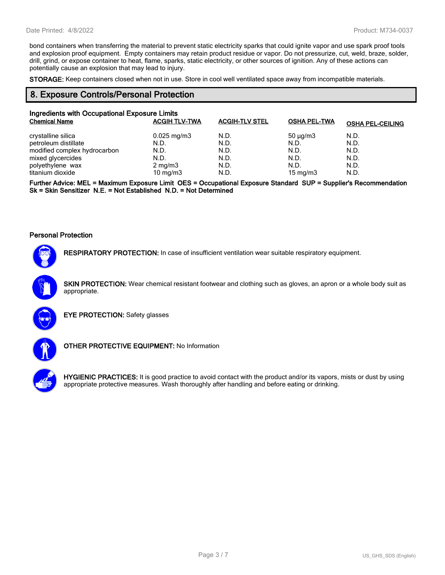bond containers when transferring the material to prevent static electricity sparks that could ignite vapor and use spark proof tools and explosion proof equipment. Empty containers may retain product residue or vapor. Do not pressurize, cut, weld, braze, solder, drill, grind, or expose container to heat, flame, sparks, static electricity, or other sources of ignition. Any of these actions can potentially cause an explosion that may lead to injury.

**STORAGE:** Keep containers closed when not in use. Store in cool well ventilated space away from incompatible materials.

## **8. Exposure Controls/Personal Protection**

| Ingredients with Occupational Exposure Limits |                      |                       |                     |                         |
|-----------------------------------------------|----------------------|-----------------------|---------------------|-------------------------|
| <b>Chemical Name</b>                          | <b>ACGIH TLV-TWA</b> | <b>ACGIH-TLV STEL</b> | <b>OSHA PEL-TWA</b> | <b>OSHA PEL-CEILING</b> |
| crystalline silica                            | $0.025$ mg/m3        | N.D.                  | $50 \mu g/m3$       | N.D.                    |
| petroleum distillate                          | N.D.                 | N.D.                  | N.D.                | N.D.                    |
| modified complex hydrocarbon                  | N.D.                 | N.D.                  | N.D.                | N.D.                    |
| mixed glycercides                             | N.D.                 | N.D.                  | N.D.                | N.D.                    |
| polyethylene wax                              | $2 \text{ mg/m}$     | N.D.                  | N.D.                | N.D.                    |
| titanium dioxide                              | 10 mg/m $3$          | N.D.                  | $15 \text{ mg/m}$   | N.D.                    |

**Further Advice: MEL = Maximum Exposure Limit OES = Occupational Exposure Standard SUP = Supplier's Recommendation Sk = Skin Sensitizer N.E. = Not Established N.D. = Not Determined**

#### **Personal Protection**



**RESPIRATORY PROTECTION:** In case of insufficient ventilation wear suitable respiratory equipment.

**SKIN PROTECTION:** Wear chemical resistant footwear and clothing such as gloves, an apron or a whole body suit as appropriate.



**EYE PROTECTION:** Safety glasses



**OTHER PROTECTIVE EQUIPMENT:** No Information



**HYGIENIC PRACTICES:** It is good practice to avoid contact with the product and/or its vapors, mists or dust by using appropriate protective measures. Wash thoroughly after handling and before eating or drinking.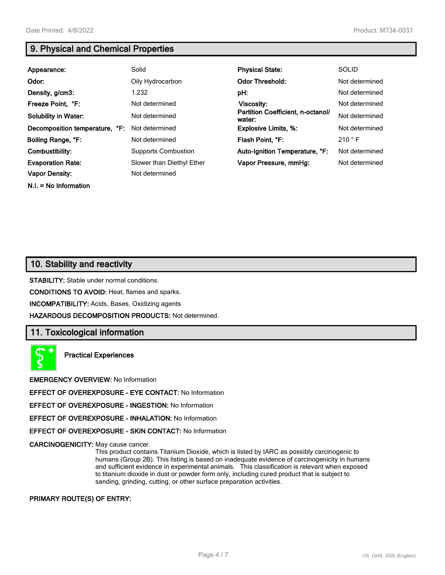**N.I. = No Information**

# **9. Physical and Chemical Properties**

| Appearance:                    | Solid                      | <b>Physical State:</b>                      | <b>SOLID</b>   |
|--------------------------------|----------------------------|---------------------------------------------|----------------|
| Odor:                          | Oily Hydrocarbon           | <b>Odor Threshold:</b>                      | Not determined |
| Density, g/cm3:                | 1.232                      | pH:                                         | Not determined |
| Freeze Point, °F:              | Not determined             | Viscosity:                                  | Not determined |
| <b>Solubility in Water:</b>    | Not determined             | Partition Coefficient, n-octanol/<br>water: | Not determined |
| Decomposition temperature, °F: | Not determined             | <b>Explosive Limits, %:</b>                 | Not determined |
| Boiling Range, °F:             | Not determined             | Flash Point, °F:                            | 210 °F         |
| Combustibility:                | <b>Supports Combustion</b> | Auto-Ignition Temperature, °F:              | Not determined |
| <b>Evaporation Rate:</b>       | Slower than Diethyl Ether  | Vapor Pressure, mmHq:                       | Not determined |
| <b>Vapor Density:</b>          | Not determined             |                                             |                |

## **10. Stability and reactivity**

**STABILITY:** Stable under normal conditions.

**CONDITIONS TO AVOID:** Heat, flames and sparks.

**INCOMPATIBILITY:** Acids, Bases, Oxidizing agents

**HAZARDOUS DECOMPOSITION PRODUCTS:** Not determined.

## **11. Toxicological information**

**Practical Experiences**

**EMERGENCY OVERVIEW:** No Information

**EFFECT OF OVEREXPOSURE - EYE CONTACT:** No Information

**EFFECT OF OVEREXPOSURE - INGESTION:** No Information

**EFFECT OF OVEREXPOSURE - INHALATION:** No Information

**EFFECT OF OVEREXPOSURE - SKIN CONTACT:** No Information

**CARCINOGENICITY:** May cause cancer.

This product contains Titanium Dioxide, which is listed by IARC as possibly carcinogenic to humans (Group 2B). This listing is based on inadequate evidence of carcinogenicity in humans and sufficient evidence in experimental animals. This classification is relevant when exposed to titanium dioxide in dust or powder form only, including cured product that is subject to sanding, grinding, cutting, or other surface preparation activities.

#### **PRIMARY ROUTE(S) OF ENTRY:**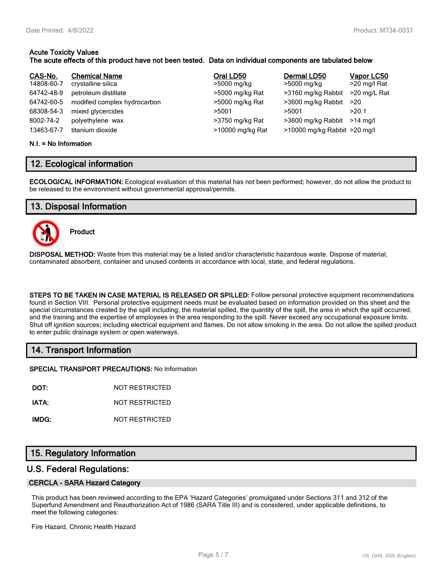#### **Acute Toxicity Values The acute effects of this product have not been tested. Data on individual components are tabulated below**

| CAS-No.    | <b>Chemical Name</b>         | Oral LD50        | Dermal LD50                  | Vapor LC50   |
|------------|------------------------------|------------------|------------------------------|--------------|
| 14808-60-7 | crystalline silica           | >5000 mg/kg      | >5000 mg/kg                  | >20 mg/l Rat |
| 64742-48-9 | petroleum distillate         | >5000 mg/kg Rat  | >3160 mg/kg Rabbit           | >20 mg/L Rat |
| 64742-60-5 | modified complex hydrocarbon | >5000 mg/kg Rat  | >3600 mg/kg Rabbit           | >20          |
| 68308-54-3 | mixed glycercides            | >5001            | >5001                        | >20.1        |
| 8002-74-2  | polyethylene wax             | >3750 mg/kg Rat  | >3600 mg/kg Rabbit           | $>14$ ma/l   |
| 13463-67-7 | titanium dioxide             | >10000 mg/kg Rat | >10000 mg/kg Rabbit >20 mg/l |              |

#### **N.I. = No Information**

## **12. Ecological information**

**ECOLOGICAL INFORMATION:** Ecological evaluation of this material has not been performed; however, do not allow the product to be released to the environment without governmental approval/permits.

## **13. Disposal Information**



**Product**

**DISPOSAL METHOD:** Waste from this material may be a listed and/or characteristic hazardous waste. Dispose of material, contaminated absorbent, container and unused contents in accordance with local, state, and federal regulations.

**STEPS TO BE TAKEN IN CASE MATERIAL IS RELEASED OR SPILLED:** Follow personal protective equipment recommendations found in Section VIII. Personal protective equipment needs must be evaluated based on information provided on this sheet and the special circumstances created by the spill including; the material spilled, the quantity of the spill, the area in which the spill occurred, and the training and the expertise of employees in the area responding to the spill. Never exceed any occupational exposure limits. Shut off ignition sources; including electrical equipment and flames. Do not allow smoking in the area. Do not allow the spilled product to enter public drainage system or open waterways.

## **14. Transport Information**

**SPECIAL TRANSPORT PRECAUTIONS:** No Information

**DOT:** NOT RESTRICTED

**IATA:** NOT RESTRICTED

**IMDG:** NOT RESTRICTED

## **15. Regulatory Information**

## **U.S. Federal Regulations:**

#### **CERCLA - SARA Hazard Category**

This product has been reviewed according to the EPA 'Hazard Categories' promulgated under Sections 311 and 312 of the Superfund Amendment and Reauthorization Act of 1986 (SARA Title III) and is considered, under applicable definitions, to meet the following categories:

Fire Hazard, Chronic Health Hazard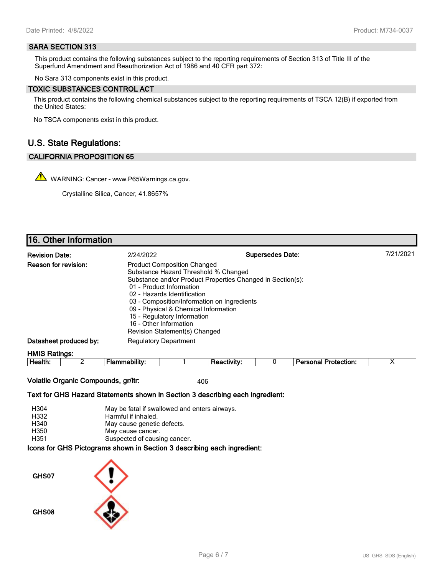#### **SARA SECTION 313**

This product contains the following substances subject to the reporting requirements of Section 313 of Title III of the Superfund Amendment and Reauthorization Act of 1986 and 40 CFR part 372:

No Sara 313 components exist in this product.

#### **TOXIC SUBSTANCES CONTROL ACT**

This product contains the following chemical substances subject to the reporting requirements of TSCA 12(B) if exported from the United States:

No TSCA components exist in this product.

## **U.S. State Regulations:**

#### **CALIFORNIA PROPOSITION 65**

WARNING: Cancer - www.P65Warnings.ca.gov.

Crystalline Silica, Cancer, 41.8657%

## **16. Other Information**

| <b>Revision Date:</b>       | 2/24/2022                                                                                                                                                                                                                                                                                                              | <b>Supersedes Date:</b>                                    | 7/21/2021 |
|-----------------------------|------------------------------------------------------------------------------------------------------------------------------------------------------------------------------------------------------------------------------------------------------------------------------------------------------------------------|------------------------------------------------------------|-----------|
| <b>Reason for revision:</b> | <b>Product Composition Changed</b><br>Substance Hazard Threshold % Changed<br>01 - Product Information<br>02 - Hazards Identification<br>03 - Composition/Information on Ingredients<br>09 - Physical & Chemical Information<br>15 - Regulatory Information<br>16 - Other Information<br>Revision Statement(s) Changed | Substance and/or Product Properties Changed in Section(s): |           |
| Datasheet produced by:      | <b>Regulatory Department</b>                                                                                                                                                                                                                                                                                           |                                                            |           |
| <b>HMIS Ratings:</b>        |                                                                                                                                                                                                                                                                                                                        |                                                            |           |

| .<br>- 111<br><b>∕tection</b> ∶<br>- --- - --<br>ctivity<br>◡<br>Health.<br>ше<br>אווני<br>ıa |
|-----------------------------------------------------------------------------------------------|
|-----------------------------------------------------------------------------------------------|

**Volatile Organic Compounds, gr/ltr:** 406

**Text for GHS Hazard Statements shown in Section 3 describing each ingredient:**

| H304 | May be fatal if swallowed and enters airways.                   |
|------|-----------------------------------------------------------------|
| H332 | Harmful if inhaled.                                             |
| H340 | May cause genetic defects.                                      |
| H350 | May cause cancer.                                               |
| H351 | Suspected of causing cancer.                                    |
|      | aana far OUO Distantena ahalun in Oastian O daasulking aash ing |

**Icons for GHS Pictograms shown in Section 3 describing each ingredient:**